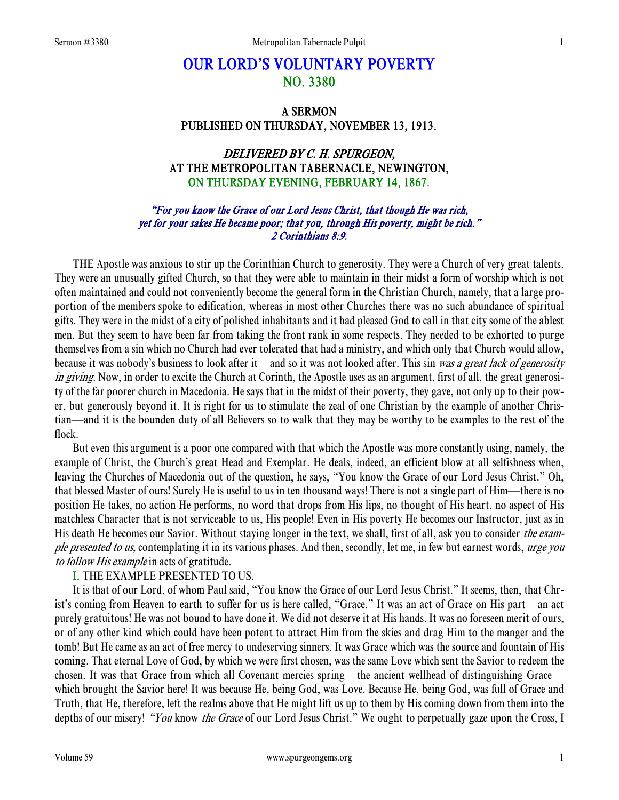# OUR LORD'S VOLUNTARY POVERTY NO. 3380

# A SERMON PUBLISHED ON THURSDAY, NOVEMBER 13, 1913.

# DELIVERED BY C. H. SPURGEON, AT THE METROPOLITAN TABERNACLE, NEWINGTON, ON THURSDAY EVENING, FEBRUARY 14, 1867.

#### "For you know the Grace of our Lord Jesus Christ, that though He was rich, yet for your sakes He became poor; that you, through His poverty, might be rich." 2 Corinthians 8:9.

THE Apostle was anxious to stir up the Corinthian Church to generosity. They were a Church of very great talents. They were an unusually gifted Church, so that they were able to maintain in their midst a form of worship which is not often maintained and could not conveniently become the general form in the Christian Church, namely, that a large proportion of the members spoke to edification, whereas in most other Churches there was no such abundance of spiritual gifts. They were in the midst of a city of polished inhabitants and it had pleased God to call in that city some of the ablest men. But they seem to have been far from taking the front rank in some respects. They needed to be exhorted to purge themselves from a sin which no Church had ever tolerated that had a ministry, and which only that Church would allow, because it was nobody's business to look after it—and so it was not looked after. This sin was a great lack of generosity in giving. Now, in order to excite the Church at Corinth, the Apostle uses as an argument, first of all, the great generosity of the far poorer church in Macedonia. He says that in the midst of their poverty, they gave, not only up to their power, but generously beyond it. It is right for us to stimulate the zeal of one Christian by the example of another Christian—and it is the bounden duty of all Believers so to walk that they may be worthy to be examples to the rest of the flock.

 But even this argument is a poor one compared with that which the Apostle was more constantly using, namely, the example of Christ, the Church's great Head and Exemplar. He deals, indeed, an efficient blow at all selfishness when, leaving the Churches of Macedonia out of the question, he says, "You know the Grace of our Lord Jesus Christ." Oh, that blessed Master of ours! Surely He is useful to us in ten thousand ways! There is not a single part of Him—there is no position He takes, no action He performs, no word that drops from His lips, no thought of His heart, no aspect of His matchless Character that is not serviceable to us, His people! Even in His poverty He becomes our Instructor, just as in His death He becomes our Savior. Without staying longer in the text, we shall, first of all, ask you to consider the example presented to us, contemplating it in its various phases. And then, secondly, let me, in few but earnest words, urge you to follow His example in acts of gratitude.

#### I. THE EXAMPLE PRESENTED TO US.

 It is that of our Lord, of whom Paul said, "You know the Grace of our Lord Jesus Christ." It seems, then, that Christ's coming from Heaven to earth to suffer for us is here called, "Grace." It was an act of Grace on His part—an act purely gratuitous! He was not bound to have done it. We did not deserve it at His hands. It was no foreseen merit of ours, or of any other kind which could have been potent to attract Him from the skies and drag Him to the manger and the tomb! But He came as an act of free mercy to undeserving sinners. It was Grace which was the source and fountain of His coming. That eternal Love of God, by which we were first chosen, was the same Love which sent the Savior to redeem the chosen. It was that Grace from which all Covenant mercies spring—the ancient wellhead of distinguishing Grace which brought the Savior here! It was because He, being God, was Love. Because He, being God, was full of Grace and Truth, that He, therefore, left the realms above that He might lift us up to them by His coming down from them into the depths of our misery! "You know the Grace of our Lord Jesus Christ." We ought to perpetually gaze upon the Cross, I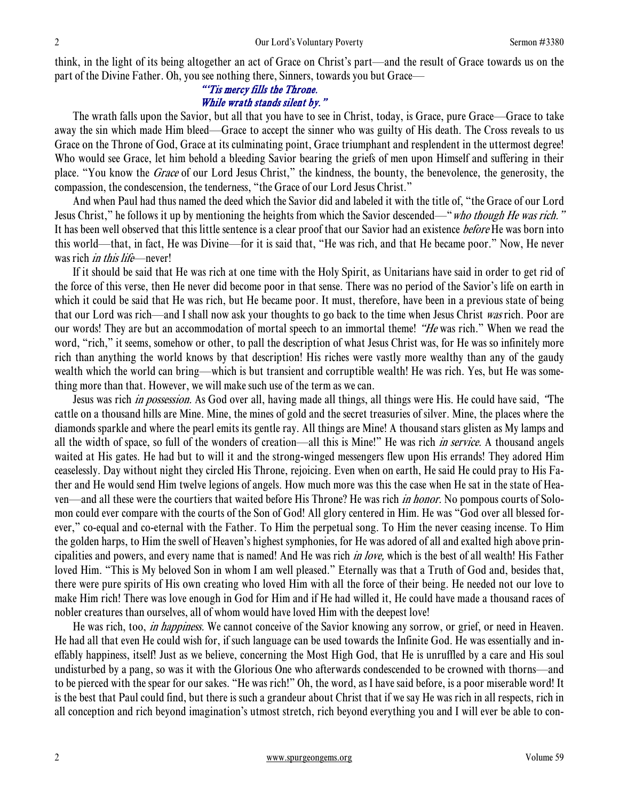think, in the light of its being altogether an act of Grace on Christ's part—and the result of Grace towards us on the part of the Divine Father. Oh, you see nothing there, Sinners, towards you but Grace—

#### "'Tis mercy fills the Throne. While wrath stands silent by."

 The wrath falls upon the Savior, but all that you have to see in Christ, today, is Grace, pure Grace—Grace to take away the sin which made Him bleed—Grace to accept the sinner who was guilty of His death. The Cross reveals to us Grace on the Throne of God, Grace at its culminating point, Grace triumphant and resplendent in the uttermost degree! Who would see Grace, let him behold a bleeding Savior bearing the griefs of men upon Himself and suffering in their place. "You know the Grace of our Lord Jesus Christ," the kindness, the bounty, the benevolence, the generosity, the compassion, the condescension, the tenderness, "the Grace of our Lord Jesus Christ."

 And when Paul had thus named the deed which the Savior did and labeled it with the title of, "the Grace of our Lord Jesus Christ," he follows it up by mentioning the heights from which the Savior descended—"who though He was rich." It has been well observed that this little sentence is a clear proof that our Savior had an existence *before* He was born into this world—that, in fact, He was Divine—for it is said that, "He was rich, and that He became poor." Now, He never was rich *in this life*—never!

 If it should be said that He was rich at one time with the Holy Spirit, as Unitarians have said in order to get rid of the force of this verse, then He never did become poor in that sense. There was no period of the Savior's life on earth in which it could be said that He was rich, but He became poor. It must, therefore, have been in a previous state of being that our Lord was rich—and I shall now ask your thoughts to go back to the time when Jesus Christ was rich. Poor are our words! They are but an accommodation of mortal speech to an immortal theme! "He was rich." When we read the word, "rich," it seems, somehow or other, to pall the description of what Jesus Christ was, for He was so infinitely more rich than anything the world knows by that description! His riches were vastly more wealthy than any of the gaudy wealth which the world can bring—which is but transient and corruptible wealth! He was rich. Yes, but He was something more than that. However, we will make such use of the term as we can.

Jesus was rich *in possession*. As God over all, having made all things, all things were His. He could have said, "The cattle on a thousand hills are Mine. Mine, the mines of gold and the secret treasuries of silver. Mine, the places where the diamonds sparkle and where the pearl emits its gentle ray. All things are Mine! A thousand stars glisten as My lamps and all the width of space, so full of the wonders of creation—all this is Mine!" He was rich in service. A thousand angels waited at His gates. He had but to will it and the strong-winged messengers flew upon His errands! They adored Him ceaselessly. Day without night they circled His Throne, rejoicing. Even when on earth, He said He could pray to His Father and He would send Him twelve legions of angels. How much more was this the case when He sat in the state of Heaven—and all these were the courtiers that waited before His Throne? He was rich *in honor*. No pompous courts of Solomon could ever compare with the courts of the Son of God! All glory centered in Him. He was "God over all blessed forever," co-equal and co-eternal with the Father. To Him the perpetual song. To Him the never ceasing incense. To Him the golden harps, to Him the swell of Heaven's highest symphonies, for He was adored of all and exalted high above principalities and powers, and every name that is named! And He was rich in love, which is the best of all wealth! His Father loved Him. "This is My beloved Son in whom I am well pleased." Eternally was that a Truth of God and, besides that, there were pure spirits of His own creating who loved Him with all the force of their being. He needed not our love to make Him rich! There was love enough in God for Him and if He had willed it, He could have made a thousand races of nobler creatures than ourselves, all of whom would have loved Him with the deepest love!

 He was rich, too, in happiness. We cannot conceive of the Savior knowing any sorrow, or grief, or need in Heaven. He had all that even He could wish for, if such language can be used towards the Infinite God. He was essentially and ineffably happiness, itself! Just as we believe, concerning the Most High God, that He is unruffled by a care and His soul undisturbed by a pang, so was it with the Glorious One who afterwards condescended to be crowned with thorns—and to be pierced with the spear for our sakes. "He was rich!" Oh, the word, as I have said before, is a poor miserable word! It is the best that Paul could find, but there is such a grandeur about Christ that if we say He was rich in all respects, rich in all conception and rich beyond imagination's utmost stretch, rich beyond everything you and I will ever be able to con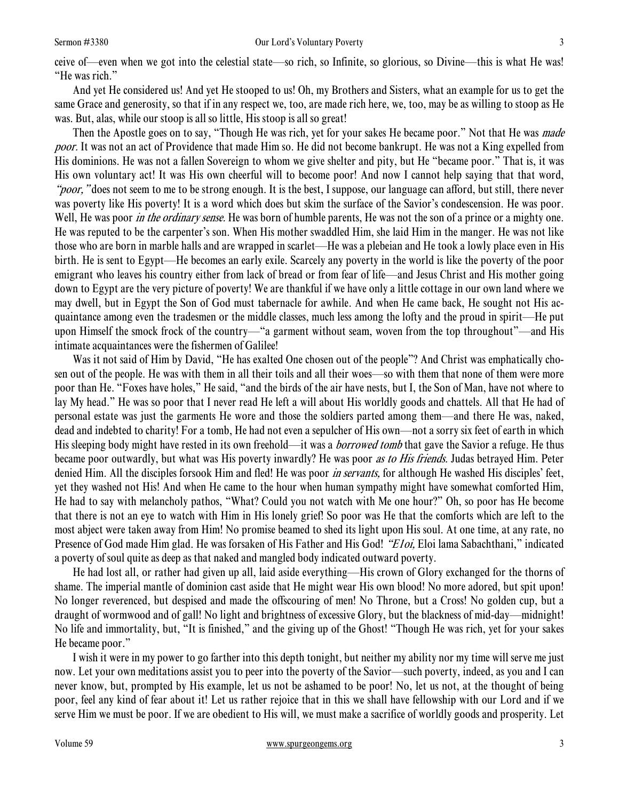ceive of—even when we got into the celestial state—so rich, so Infinite, so glorious, so Divine—this is what He was! "He was rich."

 And yet He considered us! And yet He stooped to us! Oh, my Brothers and Sisters, what an example for us to get the same Grace and generosity, so that if in any respect we, too, are made rich here, we, too, may be as willing to stoop as He was. But, alas, while our stoop is all so little, His stoop is all so great!

Then the Apostle goes on to say, "Though He was rich, yet for your sakes He became poor." Not that He was *made* poor. It was not an act of Providence that made Him so. He did not become bankrupt. He was not a King expelled from His dominions. He was not a fallen Sovereign to whom we give shelter and pity, but He "became poor." That is, it was His own voluntary act! It was His own cheerful will to become poor! And now I cannot help saying that that word, "poor," does not seem to me to be strong enough. It is the best, I suppose, our language can afford, but still, there never was poverty like His poverty! It is a word which does but skim the surface of the Savior's condescension. He was poor. Well, He was poor *in the ordinary sense*. He was born of humble parents, He was not the son of a prince or a mighty one. He was reputed to be the carpenter's son. When His mother swaddled Him, she laid Him in the manger. He was not like those who are born in marble halls and are wrapped in scarlet—He was a plebeian and He took a lowly place even in His birth. He is sent to Egypt—He becomes an early exile. Scarcely any poverty in the world is like the poverty of the poor emigrant who leaves his country either from lack of bread or from fear of life—and Jesus Christ and His mother going down to Egypt are the very picture of poverty! We are thankful if we have only a little cottage in our own land where we may dwell, but in Egypt the Son of God must tabernacle for awhile. And when He came back, He sought not His acquaintance among even the tradesmen or the middle classes, much less among the lofty and the proud in spirit—He put upon Himself the smock frock of the country—"a garment without seam, woven from the top throughout"—and His intimate acquaintances were the fishermen of Galilee!

 Was it not said of Him by David, "He has exalted One chosen out of the people"? And Christ was emphatically chosen out of the people. He was with them in all their toils and all their woes—so with them that none of them were more poor than He. "Foxes have holes," He said, "and the birds of the air have nests, but I, the Son of Man, have not where to lay My head." He was so poor that I never read He left a will about His worldly goods and chattels. All that He had of personal estate was just the garments He wore and those the soldiers parted among them—and there He was, naked, dead and indebted to charity! For a tomb, He had not even a sepulcher of His own—not a sorry six feet of earth in which His sleeping body might have rested in its own freehold—it was a *borrowed tomb* that gave the Savior a refuge. He thus became poor outwardly, but what was His poverty inwardly? He was poor as to His friends. Judas betrayed Him. Peter denied Him. All the disciples forsook Him and fled! He was poor *in servants*, for although He washed His disciples' feet, yet they washed not His! And when He came to the hour when human sympathy might have somewhat comforted Him, He had to say with melancholy pathos, "What? Could you not watch with Me one hour?" Oh, so poor has He become that there is not an eye to watch with Him in His lonely grief! So poor was He that the comforts which are left to the most abject were taken away from Him! No promise beamed to shed its light upon His soul. At one time, at any rate, no Presence of God made Him glad. He was forsaken of His Father and His God! "Eloi, Eloi lama Sabachthani," indicated a poverty of soul quite as deep as that naked and mangled body indicated outward poverty.

 He had lost all, or rather had given up all, laid aside everything—His crown of Glory exchanged for the thorns of shame. The imperial mantle of dominion cast aside that He might wear His own blood! No more adored, but spit upon! No longer reverenced, but despised and made the offscouring of men! No Throne, but a Cross! No golden cup, but a draught of wormwood and of gall! No light and brightness of excessive Glory, but the blackness of mid-day—midnight! No life and immortality, but, "It is finished," and the giving up of the Ghost! "Though He was rich, yet for your sakes He became poor."

 I wish it were in my power to go farther into this depth tonight, but neither my ability nor my time will serve me just now. Let your own meditations assist you to peer into the poverty of the Savior—such poverty, indeed, as you and I can never know, but, prompted by His example, let us not be ashamed to be poor! No, let us not, at the thought of being poor, feel any kind of fear about it! Let us rather rejoice that in this we shall have fellowship with our Lord and if we serve Him we must be poor. If we are obedient to His will, we must make a sacrifice of worldly goods and prosperity. Let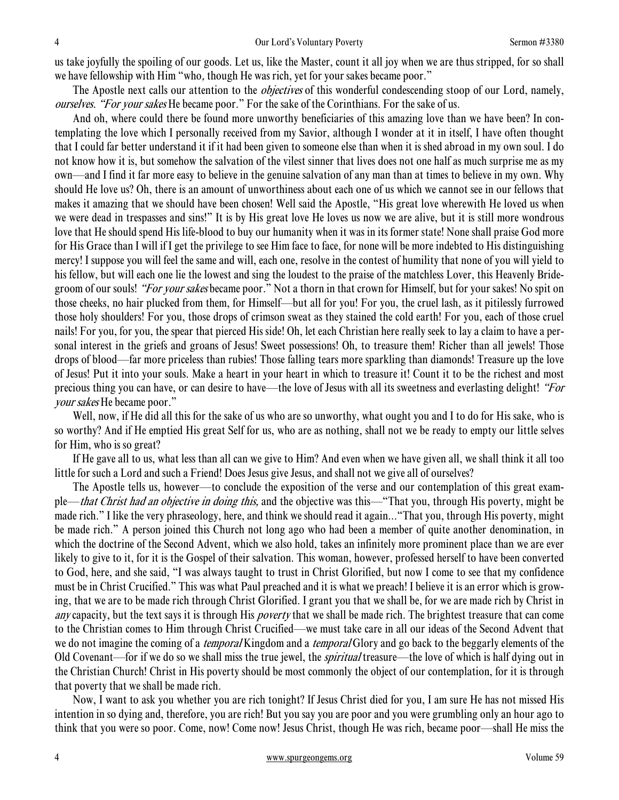us take joyfully the spoiling of our goods. Let us, like the Master, count it all joy when we are thus stripped, for so shall we have fellowship with Him "who, though He was rich, yet for your sakes became poor."

The Apostle next calls our attention to the *objectives* of this wonderful condescending stoop of our Lord, namely, ourselves. "For your sakes He became poor." For the sake of the Corinthians. For the sake of us.

 And oh, where could there be found more unworthy beneficiaries of this amazing love than we have been? In contemplating the love which I personally received from my Savior, although I wonder at it in itself, I have often thought that I could far better understand it if it had been given to someone else than when it is shed abroad in my own soul. I do not know how it is, but somehow the salvation of the vilest sinner that lives does not one half as much surprise me as my own—and I find it far more easy to believe in the genuine salvation of any man than at times to believe in my own. Why should He love us? Oh, there is an amount of unworthiness about each one of us which we cannot see in our fellows that makes it amazing that we should have been chosen! Well said the Apostle, "His great love wherewith He loved us when we were dead in trespasses and sins!" It is by His great love He loves us now we are alive, but it is still more wondrous love that He should spend His life-blood to buy our humanity when it was in its former state! None shall praise God more for His Grace than I will if I get the privilege to see Him face to face, for none will be more indebted to His distinguishing mercy! I suppose you will feel the same and will, each one, resolve in the contest of humility that none of you will yield to his fellow, but will each one lie the lowest and sing the loudest to the praise of the matchless Lover, this Heavenly Bridegroom of our souls! "For your sakes became poor." Not a thorn in that crown for Himself, but for your sakes! No spit on those cheeks, no hair plucked from them, for Himself—but all for you! For you, the cruel lash, as it pitilessly furrowed those holy shoulders! For you, those drops of crimson sweat as they stained the cold earth! For you, each of those cruel nails! For you, for you, the spear that pierced His side! Oh, let each Christian here really seek to lay a claim to have a personal interest in the griefs and groans of Jesus! Sweet possessions! Oh, to treasure them! Richer than all jewels! Those drops of blood—far more priceless than rubies! Those falling tears more sparkling than diamonds! Treasure up the love of Jesus! Put it into your souls. Make a heart in your heart in which to treasure it! Count it to be the richest and most precious thing you can have, or can desire to have—the love of Jesus with all its sweetness and everlasting delight! "For your sakes He became poor."

 Well, now, if He did all this for the sake of us who are so unworthy, what ought you and I to do for His sake, who is so worthy? And if He emptied His great Self for us, who are as nothing, shall not we be ready to empty our little selves for Him, who is so great?

 If He gave all to us, what less than all can we give to Him? And even when we have given all, we shall think it all too little for such a Lord and such a Friend! Does Jesus give Jesus, and shall not we give all of ourselves?

 The Apostle tells us, however—to conclude the exposition of the verse and our contemplation of this great example—that Christ had an objective in doing this, and the objective was this—"That you, through His poverty, might be made rich." I like the very phraseology, here, and think we should read it again..."That you, through His poverty, might be made rich." A person joined this Church not long ago who had been a member of quite another denomination, in which the doctrine of the Second Advent, which we also hold, takes an infinitely more prominent place than we are ever likely to give to it, for it is the Gospel of their salvation. This woman, however, professed herself to have been converted to God, here, and she said, "I was always taught to trust in Christ Glorified, but now I come to see that my confidence must be in Christ Crucified." This was what Paul preached and it is what we preach! I believe it is an error which is growing, that we are to be made rich through Christ Glorified. I grant you that we shall be, for we are made rich by Christ in any capacity, but the text says it is through His *poverty* that we shall be made rich. The brightest treasure that can come to the Christian comes to Him through Christ Crucified—we must take care in all our ideas of the Second Advent that we do not imagine the coming of a *temporal* Kingdom and a *temporal* Glory and go back to the beggarly elements of the Old Covenant—for if we do so we shall miss the true jewel, the *spiritual* treasure—the love of which is half dying out in the Christian Church! Christ in His poverty should be most commonly the object of our contemplation, for it is through that poverty that we shall be made rich.

 Now, I want to ask you whether you are rich tonight? If Jesus Christ died for you, I am sure He has not missed His intention in so dying and, therefore, you are rich! But you say you are poor and you were grumbling only an hour ago to think that you were so poor. Come, now! Come now! Jesus Christ, though He was rich, became poor—shall He miss the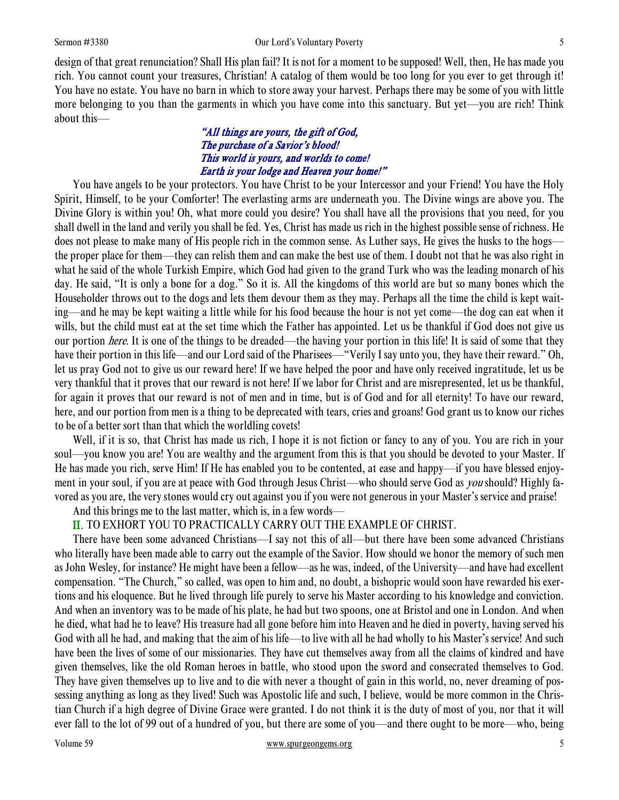design of that great renunciation? Shall His plan fail? It is not for a moment to be supposed! Well, then, He has made you rich. You cannot count your treasures, Christian! A catalog of them would be too long for you ever to get through it! You have no estate. You have no barn in which to store away your harvest. Perhaps there may be some of you with little more belonging to you than the garments in which you have come into this sanctuary. But yet—you are rich! Think about this—

#### "All things are yours, the gift of God, The purchase of a Savior's blood! This world is yours, and worlds to come! Earth is your lodge and Heaven your home!"

 You have angels to be your protectors. You have Christ to be your Intercessor and your Friend! You have the Holy Spirit, Himself, to be your Comforter! The everlasting arms are underneath you. The Divine wings are above you. The Divine Glory is within you! Oh, what more could you desire? You shall have all the provisions that you need, for you shall dwell in the land and verily you shall be fed. Yes, Christ has made us rich in the highest possible sense of richness. He does not please to make many of His people rich in the common sense. As Luther says, He gives the husks to the hogs the proper place for them—they can relish them and can make the best use of them. I doubt not that he was also right in what he said of the whole Turkish Empire, which God had given to the grand Turk who was the leading monarch of his day. He said, "It is only a bone for a dog." So it is. All the kingdoms of this world are but so many bones which the Householder throws out to the dogs and lets them devour them as they may. Perhaps all the time the child is kept waiting—and he may be kept waiting a little while for his food because the hour is not yet come—the dog can eat when it wills, but the child must eat at the set time which the Father has appointed. Let us be thankful if God does not give us our portion here. It is one of the things to be dreaded—the having your portion in this life! It is said of some that they have their portion in this life—and our Lord said of the Pharisees—"Verily I say unto you, they have their reward." Oh, let us pray God not to give us our reward here! If we have helped the poor and have only received ingratitude, let us be very thankful that it proves that our reward is not here! If we labor for Christ and are misrepresented, let us be thankful, for again it proves that our reward is not of men and in time, but is of God and for all eternity! To have our reward, here, and our portion from men is a thing to be deprecated with tears, cries and groans! God grant us to know our riches to be of a better sort than that which the worldling covets!

Well, if it is so, that Christ has made us rich, I hope it is not fiction or fancy to any of you. You are rich in your soul—you know you are! You are wealthy and the argument from this is that you should be devoted to your Master. If He has made you rich, serve Him! If He has enabled you to be contented, at ease and happy—if you have blessed enjoyment in your soul, if you are at peace with God through Jesus Christ—who should serve God as *you* should? Highly favored as you are, the very stones would cry out against you if you were not generous in your Master's service and praise!

And this brings me to the last matter, which is, in a few words—

# II. TO EXHORT YOU TO PRACTICALLY CARRY OUT THE EXAMPLE OF CHRIST.

 There have been some advanced Christians—I say not this of all—but there have been some advanced Christians who literally have been made able to carry out the example of the Savior. How should we honor the memory of such men as John Wesley, for instance? He might have been a fellow—as he was, indeed, of the University—and have had excellent compensation. "The Church," so called, was open to him and, no doubt, a bishopric would soon have rewarded his exertions and his eloquence. But he lived through life purely to serve his Master according to his knowledge and conviction. And when an inventory was to be made of his plate, he had but two spoons, one at Bristol and one in London. And when he died, what had he to leave? His treasure had all gone before him into Heaven and he died in poverty, having served his God with all he had, and making that the aim of his life—to live with all he had wholly to his Master's service! And such have been the lives of some of our missionaries. They have cut themselves away from all the claims of kindred and have given themselves, like the old Roman heroes in battle, who stood upon the sword and consecrated themselves to God. They have given themselves up to live and to die with never a thought of gain in this world, no, never dreaming of possessing anything as long as they lived! Such was Apostolic life and such, I believe, would be more common in the Christian Church if a high degree of Divine Grace were granted. I do not think it is the duty of most of you, nor that it will ever fall to the lot of 99 out of a hundred of you, but there are some of you—and there ought to be more—who, being

#### Volume 59 www.spurgeongems.org 5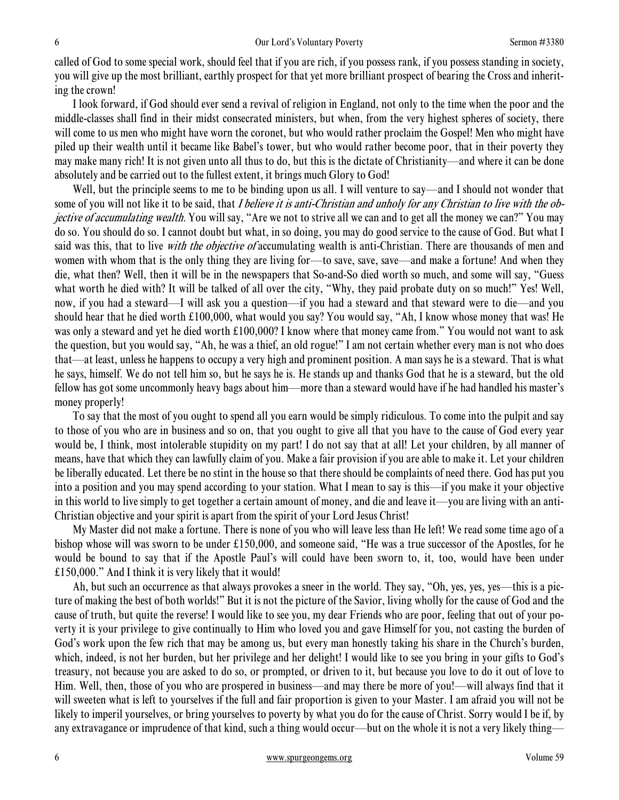called of God to some special work, should feel that if you are rich, if you possess rank, if you possess standing in society, you will give up the most brilliant, earthly prospect for that yet more brilliant prospect of bearing the Cross and inheriting the crown!

 I look forward, if God should ever send a revival of religion in England, not only to the time when the poor and the middle-classes shall find in their midst consecrated ministers, but when, from the very highest spheres of society, there will come to us men who might have worn the coronet, but who would rather proclaim the Gospel! Men who might have piled up their wealth until it became like Babel's tower, but who would rather become poor, that in their poverty they may make many rich! It is not given unto all thus to do, but this is the dictate of Christianity—and where it can be done absolutely and be carried out to the fullest extent, it brings much Glory to God!

Well, but the principle seems to me to be binding upon us all. I will venture to say—and I should not wonder that some of you will not like it to be said, that I believe it is anti-Christian and unholy for any Christian to live with the objective of accumulating wealth. You will say, "Are we not to strive all we can and to get all the money we can?" You may do so. You should do so. I cannot doubt but what, in so doing, you may do good service to the cause of God. But what I said was this, that to live *with the objective of* accumulating wealth is anti-Christian. There are thousands of men and women with whom that is the only thing they are living for—to save, save—and make a fortune! And when they die, what then? Well, then it will be in the newspapers that So-and-So died worth so much, and some will say, "Guess what worth he died with? It will be talked of all over the city, "Why, they paid probate duty on so much!" Yes! Well, now, if you had a steward—I will ask you a question—if you had a steward and that steward were to die—and you should hear that he died worth £100,000, what would you say? You would say, "Ah, I know whose money that was! He was only a steward and yet he died worth £100,000? I know where that money came from." You would not want to ask the question, but you would say, "Ah, he was a thief, an old rogue!" I am not certain whether every man is not who does that—at least, unless he happens to occupy a very high and prominent position. A man says he is a steward. That is what he says, himself. We do not tell him so, but he says he is. He stands up and thanks God that he is a steward, but the old fellow has got some uncommonly heavy bags about him—more than a steward would have if he had handled his master's money properly!

 To say that the most of you ought to spend all you earn would be simply ridiculous. To come into the pulpit and say to those of you who are in business and so on, that you ought to give all that you have to the cause of God every year would be, I think, most intolerable stupidity on my part! I do not say that at all! Let your children, by all manner of means, have that which they can lawfully claim of you. Make a fair provision if you are able to make it. Let your children be liberally educated. Let there be no stint in the house so that there should be complaints of need there. God has put you into a position and you may spend according to your station. What I mean to say is this—if you make it your objective in this world to live simply to get together a certain amount of money, and die and leave it—you are living with an anti-Christian objective and your spirit is apart from the spirit of your Lord Jesus Christ!

 My Master did not make a fortune. There is none of you who will leave less than He left! We read some time ago of a bishop whose will was sworn to be under £150,000, and someone said, "He was a true successor of the Apostles, for he would be bound to say that if the Apostle Paul's will could have been sworn to, it, too, would have been under £150,000." And I think it is very likely that it would!

Ah, but such an occurrence as that always provokes a sneer in the world. They say, "Oh, yes, yes, yes—this is a picture of making the best of both worlds!" But it is not the picture of the Savior, living wholly for the cause of God and the cause of truth, but quite the reverse! I would like to see you, my dear Friends who are poor, feeling that out of your poverty it is your privilege to give continually to Him who loved you and gave Himself for you, not casting the burden of God's work upon the few rich that may be among us, but every man honestly taking his share in the Church's burden, which, indeed, is not her burden, but her privilege and her delight! I would like to see you bring in your gifts to God's treasury, not because you are asked to do so, or prompted, or driven to it, but because you love to do it out of love to Him. Well, then, those of you who are prospered in business—and may there be more of you!—will always find that it will sweeten what is left to yourselves if the full and fair proportion is given to your Master. I am afraid you will not be likely to imperil yourselves, or bring yourselves to poverty by what you do for the cause of Christ. Sorry would I be if, by any extravagance or imprudence of that kind, such a thing would occur—but on the whole it is not a very likely thing